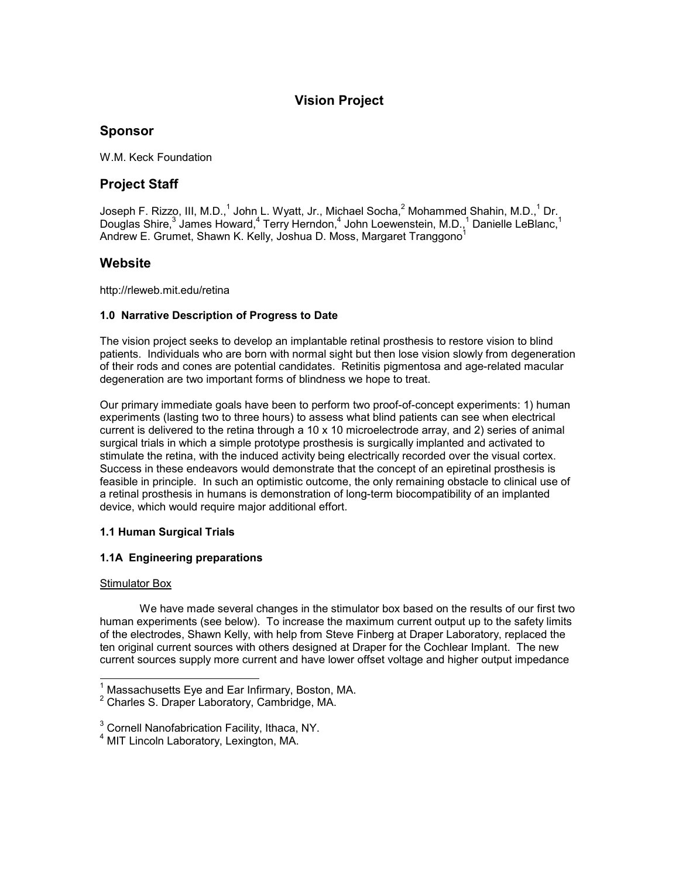# **Vision Project**

# **Sponsor**

W.M. Keck Foundation

# **Project Staff**

Joseph F. Rizzo, III, M.D.,<sup>1</sup> John L. Wyatt, Jr., Michael Socha,<sup>2</sup> Mohammed Shahin, M.D.,<sup>1</sup> Dr. <u>I</u> Douglas Shire,<sup>3</sup> James Howard,<sup>4</sup> Terry Herndon,<sup>4</sup> John Loewenstein, M.D.,<sup>1</sup> Danielle LeBlanc,<sup>1</sup> Andrew E. Grumet, Shawn K. Kelly, Joshua D. Moss, Margaret Tranggono $<sup>1</sup>$ </sup>

# **Website**

http://rleweb.mit.edu/retina

# **1.0 Narrative Description of Progress to Date**

The vision project seeks to develop an implantable retinal prosthesis to restore vision to blind patients. Individuals who are born with normal sight but then lose vision slowly from degeneration of their rods and cones are potential candidates. Retinitis pigmentosa and age-related macular degeneration are two important forms of blindness we hope to treat.

Our primary immediate goals have been to perform two proof-of-concept experiments: 1) human experiments (lasting two to three hours) to assess what blind patients can see when electrical current is delivered to the retina through a 10 x 10 microelectrode array, and 2) series of animal surgical trials in which a simple prototype prosthesis is surgically implanted and activated to stimulate the retina, with the induced activity being electrically recorded over the visual cortex. Success in these endeavors would demonstrate that the concept of an epiretinal prosthesis is feasible in principle. In such an optimistic outcome, the only remaining obstacle to clinical use of a retinal prosthesis in humans is demonstration of long-term biocompatibility of an implanted device, which would require major additional effort.

# **1.1 Human Surgical Trials**

# **1.1A Engineering preparations**

# **Stimulator Box**

 We have made several changes in the stimulator box based on the results of our first two human experiments (see below). To increase the maximum current output up to the safety limits of the electrodes, Shawn Kelly, with help from Steve Finberg at Draper Laboratory, replaced the ten original current sources with others designed at Draper for the Cochlear Implant. The new current sources supply more current and have lower offset voltage and higher output impedance

 1 Massachusetts Eye and Ear Infirmary, Boston, MA.

<sup>&</sup>lt;sup>2</sup> Charles S. Draper Laboratory, Cambridge, MA.

 $3$  Cornell Nanofabrication Facility, Ithaca, NY.

<sup>4</sup> MIT Lincoln Laboratory, Lexington, MA.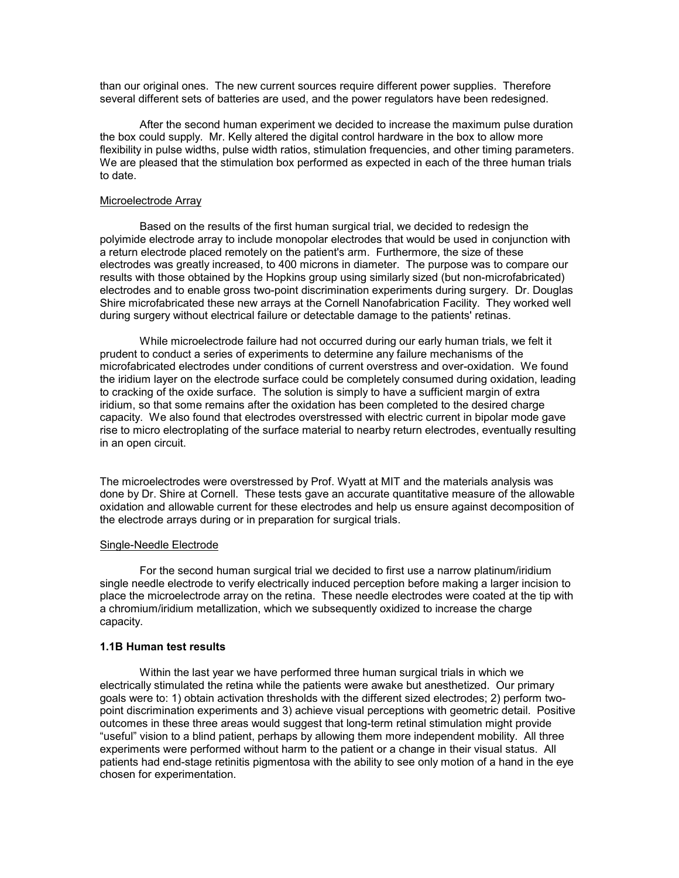than our original ones. The new current sources require different power supplies. Therefore several different sets of batteries are used, and the power regulators have been redesigned.

 After the second human experiment we decided to increase the maximum pulse duration the box could supply. Mr. Kelly altered the digital control hardware in the box to allow more flexibility in pulse widths, pulse width ratios, stimulation frequencies, and other timing parameters. We are pleased that the stimulation box performed as expected in each of the three human trials to date.

# Microelectrode Array

 Based on the results of the first human surgical trial, we decided to redesign the polyimide electrode array to include monopolar electrodes that would be used in conjunction with a return electrode placed remotely on the patient's arm. Furthermore, the size of these electrodes was greatly increased, to 400 microns in diameter. The purpose was to compare our results with those obtained by the Hopkins group using similarly sized (but non-microfabricated) electrodes and to enable gross two-point discrimination experiments during surgery. Dr. Douglas Shire microfabricated these new arrays at the Cornell Nanofabrication Facility. They worked well during surgery without electrical failure or detectable damage to the patients' retinas.

 While microelectrode failure had not occurred during our early human trials, we felt it prudent to conduct a series of experiments to determine any failure mechanisms of the microfabricated electrodes under conditions of current overstress and over-oxidation. We found the iridium layer on the electrode surface could be completely consumed during oxidation, leading to cracking of the oxide surface. The solution is simply to have a sufficient margin of extra iridium, so that some remains after the oxidation has been completed to the desired charge capacity. We also found that electrodes overstressed with electric current in bipolar mode gave rise to micro electroplating of the surface material to nearby return electrodes, eventually resulting in an open circuit.

The microelectrodes were overstressed by Prof. Wyatt at MIT and the materials analysis was done by Dr. Shire at Cornell. These tests gave an accurate quantitative measure of the allowable oxidation and allowable current for these electrodes and help us ensure against decomposition of the electrode arrays during or in preparation for surgical trials.

### Single-Needle Electrode

 For the second human surgical trial we decided to first use a narrow platinum/iridium single needle electrode to verify electrically induced perception before making a larger incision to place the microelectrode array on the retina. These needle electrodes were coated at the tip with a chromium/iridium metallization, which we subsequently oxidized to increase the charge capacity.

## **1.1B Human test results**

Within the last year we have performed three human surgical trials in which we electrically stimulated the retina while the patients were awake but anesthetized. Our primary goals were to: 1) obtain activation thresholds with the different sized electrodes; 2) perform twopoint discrimination experiments and 3) achieve visual perceptions with geometric detail. Positive outcomes in these three areas would suggest that long-term retinal stimulation might provide "useful" vision to a blind patient, perhaps by allowing them more independent mobility. All three experiments were performed without harm to the patient or a change in their visual status. All patients had end-stage retinitis pigmentosa with the ability to see only motion of a hand in the eye chosen for experimentation.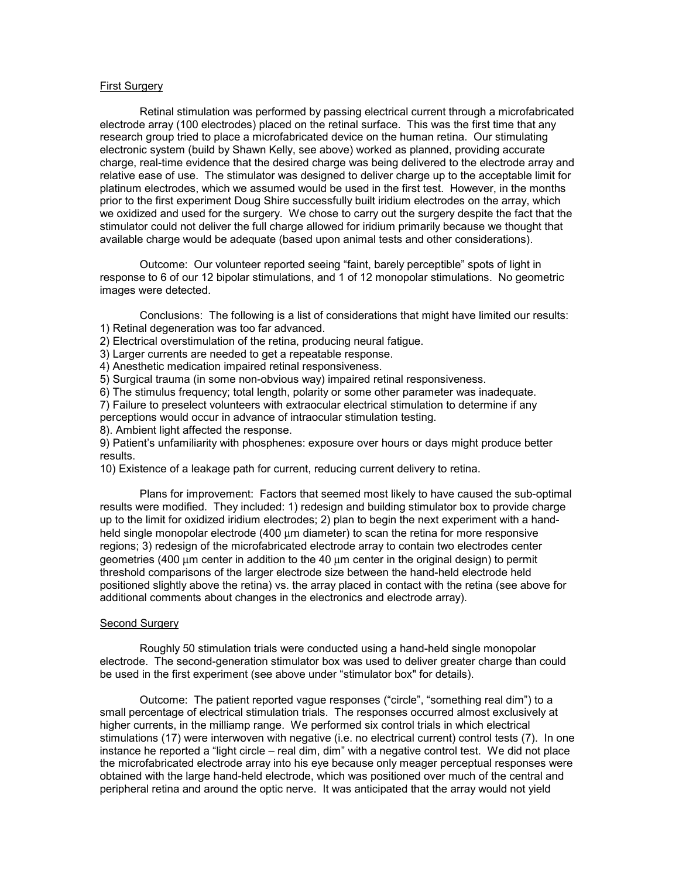# First Surgery

Retinal stimulation was performed by passing electrical current through a microfabricated electrode array (100 electrodes) placed on the retinal surface. This was the first time that any research group tried to place a microfabricated device on the human retina. Our stimulating electronic system (build by Shawn Kelly, see above) worked as planned, providing accurate charge, real-time evidence that the desired charge was being delivered to the electrode array and relative ease of use. The stimulator was designed to deliver charge up to the acceptable limit for platinum electrodes, which we assumed would be used in the first test. However, in the months prior to the first experiment Doug Shire successfully built iridium electrodes on the array, which we oxidized and used for the surgery. We chose to carry out the surgery despite the fact that the stimulator could not deliver the full charge allowed for iridium primarily because we thought that available charge would be adequate (based upon animal tests and other considerations).

Outcome: Our volunteer reported seeing "faint, barely perceptible" spots of light in response to 6 of our 12 bipolar stimulations, and 1 of 12 monopolar stimulations. No geometric images were detected.

Conclusions: The following is a list of considerations that might have limited our results: 1) Retinal degeneration was too far advanced.

2) Electrical overstimulation of the retina, producing neural fatigue.

3) Larger currents are needed to get a repeatable response.

4) Anesthetic medication impaired retinal responsiveness.

5) Surgical trauma (in some non-obvious way) impaired retinal responsiveness.

6) The stimulus frequency; total length, polarity or some other parameter was inadequate.

7) Failure to preselect volunteers with extraocular electrical stimulation to determine if any perceptions would occur in advance of intraocular stimulation testing.

8). Ambient light affected the response.

9) Patient's unfamiliarity with phosphenes: exposure over hours or days might produce better results.

10) Existence of a leakage path for current, reducing current delivery to retina.

Plans for improvement: Factors that seemed most likely to have caused the sub-optimal results were modified. They included: 1) redesign and building stimulator box to provide charge up to the limit for oxidized iridium electrodes; 2) plan to begin the next experiment with a handheld single monopolar electrode (400 µm diameter) to scan the retina for more responsive regions; 3) redesign of the microfabricated electrode array to contain two electrodes center geometries (400 µm center in addition to the 40 µm center in the original design) to permit threshold comparisons of the larger electrode size between the hand-held electrode held positioned slightly above the retina) vs. the array placed in contact with the retina (see above for additional comments about changes in the electronics and electrode array).

### Second Surgery

Roughly 50 stimulation trials were conducted using a hand-held single monopolar electrode. The second-generation stimulator box was used to deliver greater charge than could be used in the first experiment (see above under "stimulator box" for details).

Outcome: The patient reported vague responses ("circle", "something real dim") to a small percentage of electrical stimulation trials. The responses occurred almost exclusively at higher currents, in the milliamp range. We performed six control trials in which electrical stimulations (17) were interwoven with negative (i.e. no electrical current) control tests (7). In one instance he reported a "light circle – real dim, dim" with a negative control test. We did not place the microfabricated electrode array into his eye because only meager perceptual responses were obtained with the large hand-held electrode, which was positioned over much of the central and peripheral retina and around the optic nerve. It was anticipated that the array would not yield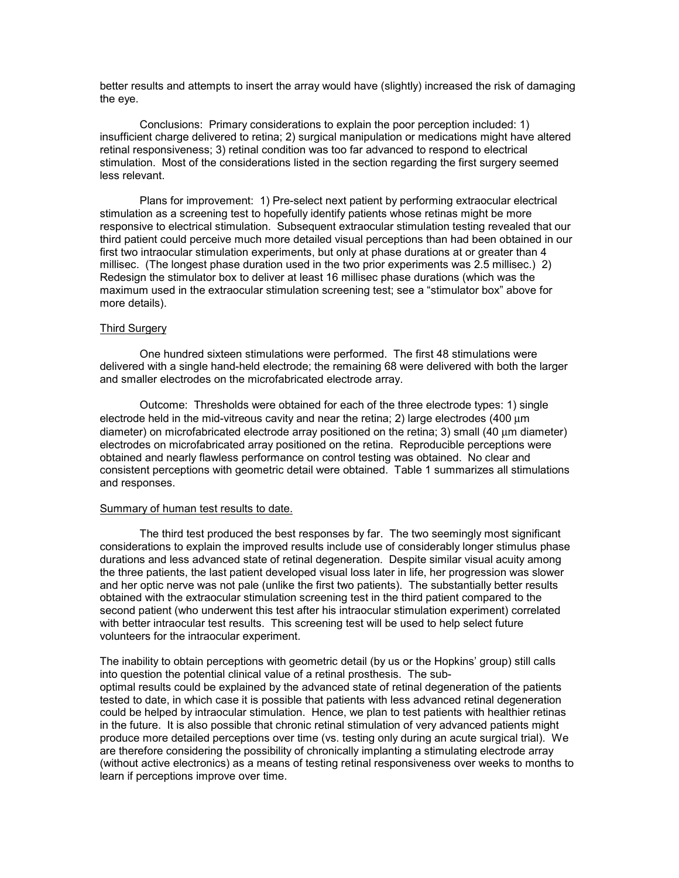better results and attempts to insert the array would have (slightly) increased the risk of damaging the eye.

Conclusions: Primary considerations to explain the poor perception included: 1) insufficient charge delivered to retina; 2) surgical manipulation or medications might have altered retinal responsiveness; 3) retinal condition was too far advanced to respond to electrical stimulation. Most of the considerations listed in the section regarding the first surgery seemed less relevant.

Plans for improvement: 1) Pre-select next patient by performing extraocular electrical stimulation as a screening test to hopefully identify patients whose retinas might be more responsive to electrical stimulation. Subsequent extraocular stimulation testing revealed that our third patient could perceive much more detailed visual perceptions than had been obtained in our first two intraocular stimulation experiments, but only at phase durations at or greater than 4 millisec. (The longest phase duration used in the two prior experiments was 2.5 millisec.) 2) Redesign the stimulator box to deliver at least 16 millisec phase durations (which was the maximum used in the extraocular stimulation screening test; see a "stimulator box" above for more details).

## Third Surgery

One hundred sixteen stimulations were performed. The first 48 stimulations were delivered with a single hand-held electrode; the remaining 68 were delivered with both the larger and smaller electrodes on the microfabricated electrode array.

Outcome: Thresholds were obtained for each of the three electrode types: 1) single electrode held in the mid-vitreous cavity and near the retina; 2) large electrodes (400 µm diameter) on microfabricated electrode array positioned on the retina; 3) small (40 µm diameter) electrodes on microfabricated array positioned on the retina. Reproducible perceptions were obtained and nearly flawless performance on control testing was obtained. No clear and consistent perceptions with geometric detail were obtained. Table 1 summarizes all stimulations and responses.

#### Summary of human test results to date.

The third test produced the best responses by far. The two seemingly most significant considerations to explain the improved results include use of considerably longer stimulus phase durations and less advanced state of retinal degeneration. Despite similar visual acuity among the three patients, the last patient developed visual loss later in life, her progression was slower and her optic nerve was not pale (unlike the first two patients). The substantially better results obtained with the extraocular stimulation screening test in the third patient compared to the second patient (who underwent this test after his intraocular stimulation experiment) correlated with better intraocular test results. This screening test will be used to help select future volunteers for the intraocular experiment.

The inability to obtain perceptions with geometric detail (by us or the Hopkins' group) still calls into question the potential clinical value of a retinal prosthesis. The suboptimal results could be explained by the advanced state of retinal degeneration of the patients tested to date, in which case it is possible that patients with less advanced retinal degeneration could be helped by intraocular stimulation. Hence, we plan to test patients with healthier retinas in the future. It is also possible that chronic retinal stimulation of very advanced patients might produce more detailed perceptions over time (vs. testing only during an acute surgical trial). We are therefore considering the possibility of chronically implanting a stimulating electrode array (without active electronics) as a means of testing retinal responsiveness over weeks to months to learn if perceptions improve over time.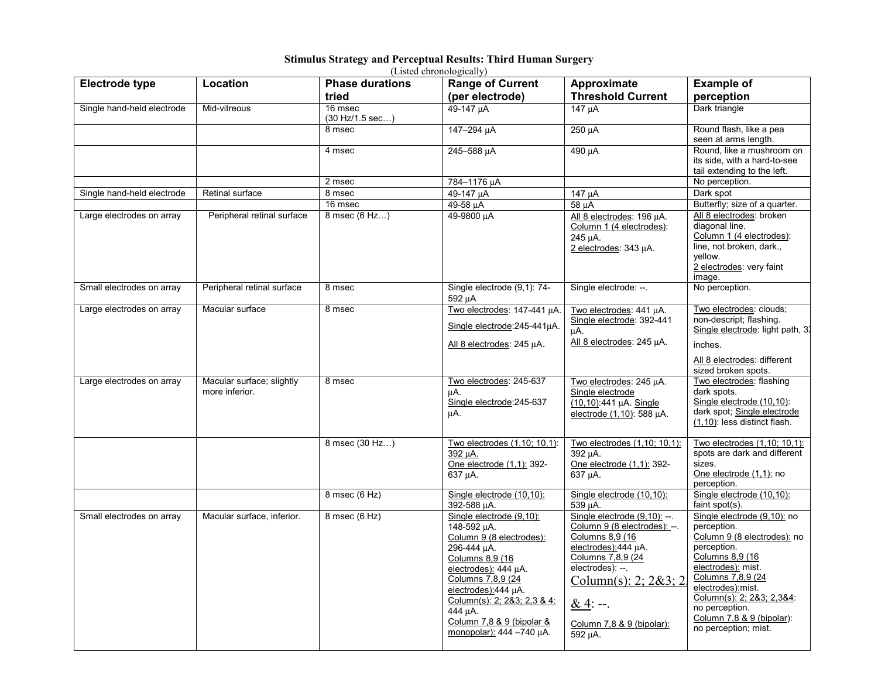# **Stimulus Strategy and Perceptual Results: Third Human Surgery**

| (Listed chronologically)   |                                             |                                              |                                                                                                                                                                                                                                                                              |                                                                                                                                                                                                                                   |                                                                                                                                                                                                                                                                                  |
|----------------------------|---------------------------------------------|----------------------------------------------|------------------------------------------------------------------------------------------------------------------------------------------------------------------------------------------------------------------------------------------------------------------------------|-----------------------------------------------------------------------------------------------------------------------------------------------------------------------------------------------------------------------------------|----------------------------------------------------------------------------------------------------------------------------------------------------------------------------------------------------------------------------------------------------------------------------------|
| <b>Electrode type</b>      | Location                                    | <b>Phase durations</b><br>tried              | <b>Range of Current</b><br>(per electrode)                                                                                                                                                                                                                                   | Approximate<br><b>Threshold Current</b>                                                                                                                                                                                           | <b>Example of</b><br>perception                                                                                                                                                                                                                                                  |
| Single hand-held electrode | Mid-vitreous                                | 16 msec<br>$(30 \text{ Hz}/1.5 \text{ sec})$ | 49-147 µA                                                                                                                                                                                                                                                                    | 147 uA                                                                                                                                                                                                                            | Dark triangle                                                                                                                                                                                                                                                                    |
|                            |                                             | 8 msec                                       | 147-294 uA                                                                                                                                                                                                                                                                   | 250 µA                                                                                                                                                                                                                            | Round flash, like a pea<br>seen at arms length.                                                                                                                                                                                                                                  |
|                            |                                             | 4 msec                                       | 245-588 µA                                                                                                                                                                                                                                                                   | 490 uA                                                                                                                                                                                                                            | Round, like a mushroom on<br>its side, with a hard-to-see<br>tail extending to the left.                                                                                                                                                                                         |
|                            |                                             | 2 msec                                       | 784-1176 µA                                                                                                                                                                                                                                                                  |                                                                                                                                                                                                                                   | No perception.                                                                                                                                                                                                                                                                   |
| Single hand-held electrode | Retinal surface                             | 8 msec                                       | 49-147 µA                                                                                                                                                                                                                                                                    | 147 µA                                                                                                                                                                                                                            | Dark spot                                                                                                                                                                                                                                                                        |
|                            |                                             | 16 msec                                      | 49-58 µA                                                                                                                                                                                                                                                                     | 58 µA                                                                                                                                                                                                                             | Butterfly; size of a quarter.                                                                                                                                                                                                                                                    |
| Large electrodes on array  | Peripheral retinal surface                  | 8 msec (6 Hz)                                | 49-9800 µA                                                                                                                                                                                                                                                                   | All 8 electrodes: 196 µA.<br>Column 1 (4 electrodes):<br>245 µA.<br>2 electrodes: 343 µA.                                                                                                                                         | All 8 electrodes: broken<br>diagonal line.<br>Column 1 (4 electrodes):<br>line, not broken, dark.,<br>yellow.<br>2 electrodes: very faint<br>image.                                                                                                                              |
| Small electrodes on array  | Peripheral retinal surface                  | 8 msec                                       | Single electrode (9,1): 74-<br>592 µA                                                                                                                                                                                                                                        | Single electrode: --.                                                                                                                                                                                                             | No perception.                                                                                                                                                                                                                                                                   |
| Large electrodes on array  | Macular surface                             | 8 msec                                       | Two electrodes: 147-441 µA.<br>Single electrode: 245-441uA.<br>All 8 electrodes: 245 µA.                                                                                                                                                                                     | Two electrodes: 441 µA.<br>Single electrode: 392-441<br>μA.<br>All 8 electrodes: 245 µA.                                                                                                                                          | Two electrodes: clouds;<br>non-descript; flashing.<br>Single electrode: light path, 3)<br>inches.                                                                                                                                                                                |
| Large electrodes on array  | Macular surface; slightly<br>more inferior. | 8 msec                                       | Two electrodes: 245-637<br>μA.<br>Single electrode: 245-637<br>μA.                                                                                                                                                                                                           | Two electrodes: 245 uA.<br>Single electrode<br>(10,10):441 µA. Single<br>electrode (1,10): 588 µA.                                                                                                                                | All 8 electrodes: different<br>sized broken spots.<br>Two electrodes: flashing<br>dark spots.<br>Single electrode (10,10):<br>dark spot; Single electrode<br>(1,10): less distinct flash.                                                                                        |
|                            |                                             | 8 msec (30 Hz)                               | Two electrodes (1,10; 10,1):<br>392 uA.<br>One electrode (1,1): 392-<br>637 uA.                                                                                                                                                                                              | Two electrodes (1,10; 10,1):<br>392 µA.<br>One electrode (1,1): 392-<br>637 uA.                                                                                                                                                   | Two electrodes (1,10; 10,1):<br>spots are dark and different<br>sizes.<br>One electrode (1,1): no<br>perception.                                                                                                                                                                 |
|                            |                                             | 8 msec (6 Hz)                                | Single electrode (10,10):<br>392-588 µA.                                                                                                                                                                                                                                     | Single electrode (10,10):<br>539 uA.                                                                                                                                                                                              | Single electrode (10,10):<br>faint spot(s).                                                                                                                                                                                                                                      |
| Small electrodes on array  | Macular surface, inferior.                  | 8 msec (6 Hz)                                | Single electrode (9,10):<br>148-592 µA.<br>Column 9 (8 electrodes):<br>296-444 µA.<br>Columns 8,9 (16<br>electrodes): 444 µA.<br>Columns 7,8,9 (24<br>electrodes):444 uA.<br>Column(s): 2; 2&3; 2,3 & 4:<br>444 uA.<br>Column 7,8 & 9 (bipolar &<br>monopolar): 444 -740 µA. | Single electrode $(9,10)$ : --.<br>Column 9 (8 electrodes): --.<br>Columns 8,9 (16<br>electrodes):444 µA.<br>Columns 7,8,9 (24<br>electrodes): --.<br>Column(s): 2; $2\&3; 2$<br>$&4:-$ .<br>Column 7,8 & 9 (bipolar):<br>592 µA. | Single electrode (9,10): no<br>perception.<br>Column 9 (8 electrodes): no<br>perception.<br>Columns 8,9 (16<br>electrodes): mist.<br>Columns 7,8,9 (24<br>electrodes): mist.<br>Column(s): 2; 2&3; 2,3&4:<br>no perception.<br>Column 7,8 & 9 (bipolar):<br>no perception; mist. |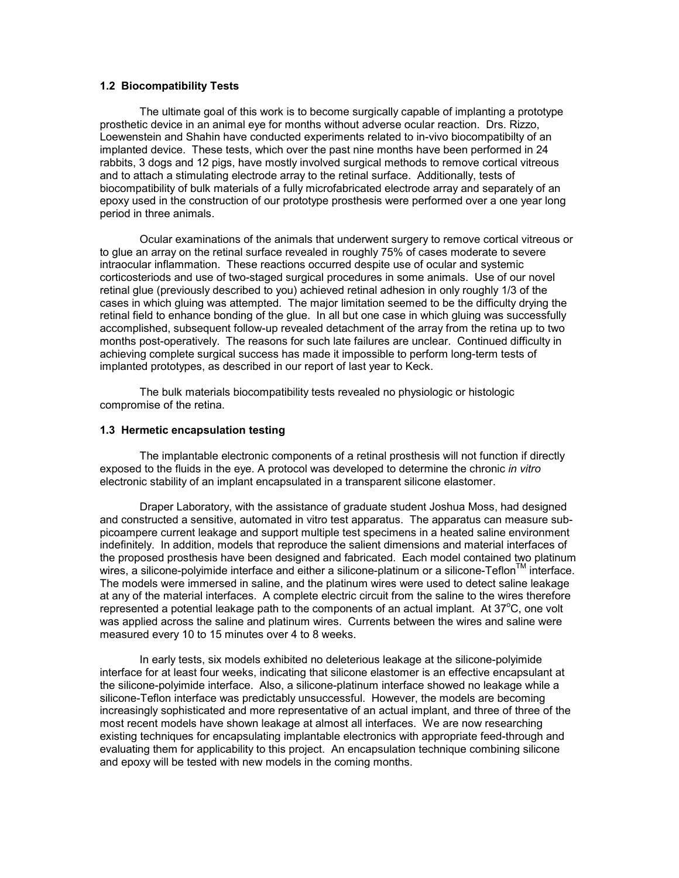# **1.2 Biocompatibility Tests**

The ultimate goal of this work is to become surgically capable of implanting a prototype prosthetic device in an animal eye for months without adverse ocular reaction. Drs. Rizzo, Loewenstein and Shahin have conducted experiments related to in-vivo biocompatibilty of an implanted device. These tests, which over the past nine months have been performed in 24 rabbits, 3 dogs and 12 pigs, have mostly involved surgical methods to remove cortical vitreous and to attach a stimulating electrode array to the retinal surface. Additionally, tests of biocompatibility of bulk materials of a fully microfabricated electrode array and separately of an epoxy used in the construction of our prototype prosthesis were performed over a one year long period in three animals.

Ocular examinations of the animals that underwent surgery to remove cortical vitreous or to glue an array on the retinal surface revealed in roughly 75% of cases moderate to severe intraocular inflammation. These reactions occurred despite use of ocular and systemic corticosteriods and use of two-staged surgical procedures in some animals. Use of our novel retinal glue (previously described to you) achieved retinal adhesion in only roughly 1/3 of the cases in which gluing was attempted. The major limitation seemed to be the difficulty drying the retinal field to enhance bonding of the glue. In all but one case in which gluing was successfully accomplished, subsequent follow-up revealed detachment of the array from the retina up to two months post-operatively. The reasons for such late failures are unclear. Continued difficulty in achieving complete surgical success has made it impossible to perform long-term tests of implanted prototypes, as described in our report of last year to Keck.

The bulk materials biocompatibility tests revealed no physiologic or histologic compromise of the retina.

### **1.3 Hermetic encapsulation testing**

The implantable electronic components of a retinal prosthesis will not function if directly exposed to the fluids in the eye. A protocol was developed to determine the chronic *in vitro* electronic stability of an implant encapsulated in a transparent silicone elastomer.

Draper Laboratory, with the assistance of graduate student Joshua Moss, had designed and constructed a sensitive, automated in vitro test apparatus. The apparatus can measure subpicoampere current leakage and support multiple test specimens in a heated saline environment indefinitely. In addition, models that reproduce the salient dimensions and material interfaces of the proposed prosthesis have been designed and fabricated. Each model contained two platinum wires, a silicone-polyimide interface and either a silicone-platinum or a silicone-Teflon<sup>IM</sup> interface. The models were immersed in saline, and the platinum wires were used to detect saline leakage at any of the material interfaces. A complete electric circuit from the saline to the wires therefore represented a potential leakage path to the components of an actual implant. At  $37^{\circ}$ C, one volt was applied across the saline and platinum wires. Currents between the wires and saline were measured every 10 to 15 minutes over 4 to 8 weeks.

In early tests, six models exhibited no deleterious leakage at the silicone-polyimide interface for at least four weeks, indicating that silicone elastomer is an effective encapsulant at the silicone-polyimide interface. Also, a silicone-platinum interface showed no leakage while a silicone-Teflon interface was predictably unsuccessful. However, the models are becoming increasingly sophisticated and more representative of an actual implant, and three of three of the most recent models have shown leakage at almost all interfaces. We are now researching existing techniques for encapsulating implantable electronics with appropriate feed-through and evaluating them for applicability to this project. An encapsulation technique combining silicone and epoxy will be tested with new models in the coming months.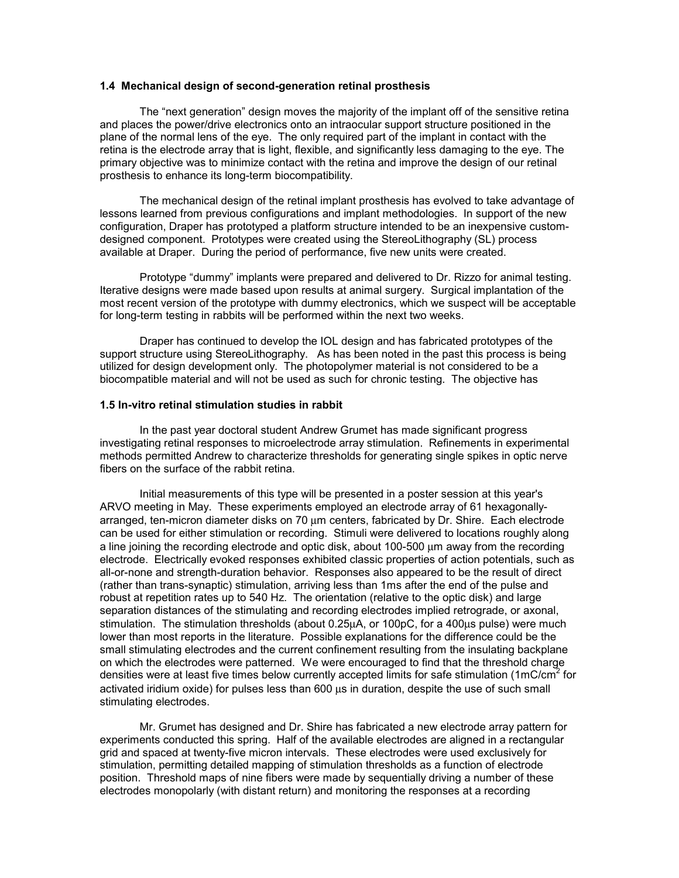### **1.4 Mechanical design of second-generation retinal prosthesis**

The "next generation" design moves the majority of the implant off of the sensitive retina and places the power/drive electronics onto an intraocular support structure positioned in the plane of the normal lens of the eye. The only required part of the implant in contact with the retina is the electrode array that is light, flexible, and significantly less damaging to the eye. The primary objective was to minimize contact with the retina and improve the design of our retinal prosthesis to enhance its long-term biocompatibility.

The mechanical design of the retinal implant prosthesis has evolved to take advantage of lessons learned from previous configurations and implant methodologies. In support of the new configuration, Draper has prototyped a platform structure intended to be an inexpensive customdesigned component. Prototypes were created using the StereoLithography (SL) process available at Draper. During the period of performance, five new units were created.

Prototype "dummy" implants were prepared and delivered to Dr. Rizzo for animal testing. Iterative designs were made based upon results at animal surgery. Surgical implantation of the most recent version of the prototype with dummy electronics, which we suspect will be acceptable for long-term testing in rabbits will be performed within the next two weeks.

Draper has continued to develop the IOL design and has fabricated prototypes of the support structure using StereoLithography. As has been noted in the past this process is being utilized for design development only. The photopolymer material is not considered to be a biocompatible material and will not be used as such for chronic testing. The objective has

### **1.5 In-vitro retinal stimulation studies in rabbit**

 In the past year doctoral student Andrew Grumet has made significant progress investigating retinal responses to microelectrode array stimulation. Refinements in experimental methods permitted Andrew to characterize thresholds for generating single spikes in optic nerve fibers on the surface of the rabbit retina.

 Initial measurements of this type will be presented in a poster session at this year's ARVO meeting in May. These experiments employed an electrode array of 61 hexagonallyarranged, ten-micron diameter disks on 70 µm centers, fabricated by Dr. Shire. Each electrode can be used for either stimulation or recording. Stimuli were delivered to locations roughly along a line joining the recording electrode and optic disk, about 100-500 µm away from the recording electrode. Electrically evoked responses exhibited classic properties of action potentials, such as all-or-none and strength-duration behavior. Responses also appeared to be the result of direct (rather than trans-synaptic) stimulation, arriving less than 1ms after the end of the pulse and robust at repetition rates up to 540 Hz. The orientation (relative to the optic disk) and large separation distances of the stimulating and recording electrodes implied retrograde, or axonal, stimulation. The stimulation thresholds (about 0.25µA, or 100pC, for a 400µs pulse) were much lower than most reports in the literature. Possible explanations for the difference could be the small stimulating electrodes and the current confinement resulting from the insulating backplane on which the electrodes were patterned. We were encouraged to find that the threshold charge densities were at least five times below currently accepted limits for safe stimulation (1mC/cm<sup>2</sup> for activated iridium oxide) for pulses less than 600 µs in duration, despite the use of such small stimulating electrodes.

Mr. Grumet has designed and Dr. Shire has fabricated a new electrode array pattern for experiments conducted this spring. Half of the available electrodes are aligned in a rectangular grid and spaced at twenty-five micron intervals. These electrodes were used exclusively for stimulation, permitting detailed mapping of stimulation thresholds as a function of electrode position. Threshold maps of nine fibers were made by sequentially driving a number of these electrodes monopolarly (with distant return) and monitoring the responses at a recording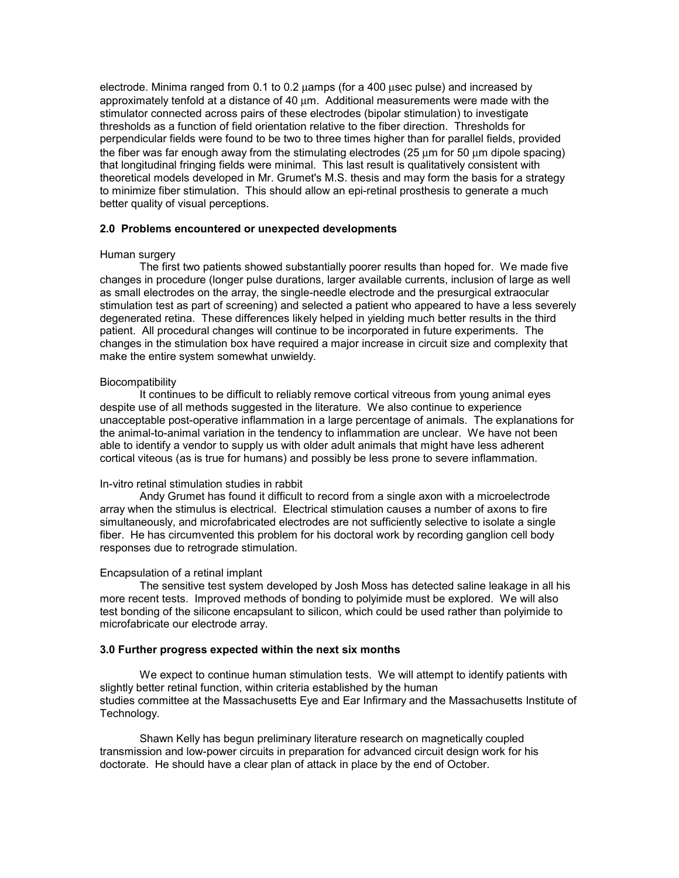electrode. Minima ranged from 0.1 to 0.2 µamps (for a 400 µsec pulse) and increased by approximately tenfold at a distance of 40 µm. Additional measurements were made with the stimulator connected across pairs of these electrodes (bipolar stimulation) to investigate thresholds as a function of field orientation relative to the fiber direction. Thresholds for perpendicular fields were found to be two to three times higher than for parallel fields, provided the fiber was far enough away from the stimulating electrodes (25 um for 50 um dipole spacing) that longitudinal fringing fields were minimal. This last result is qualitatively consistent with theoretical models developed in Mr. Grumet's M.S. thesis and may form the basis for a strategy to minimize fiber stimulation. This should allow an epi-retinal prosthesis to generate a much better quality of visual perceptions.

## **2.0 Problems encountered or unexpected developments**

## Human surgery

 The first two patients showed substantially poorer results than hoped for. We made five changes in procedure (longer pulse durations, larger available currents, inclusion of large as well as small electrodes on the array, the single-needle electrode and the presurgical extraocular stimulation test as part of screening) and selected a patient who appeared to have a less severely degenerated retina. These differences likely helped in yielding much better results in the third patient. All procedural changes will continue to be incorporated in future experiments. The changes in the stimulation box have required a major increase in circuit size and complexity that make the entire system somewhat unwieldy.

### **Biocompatibility**

 It continues to be difficult to reliably remove cortical vitreous from young animal eyes despite use of all methods suggested in the literature. We also continue to experience unacceptable post-operative inflammation in a large percentage of animals. The explanations for the animal-to-animal variation in the tendency to inflammation are unclear. We have not been able to identify a vendor to supply us with older adult animals that might have less adherent cortical viteous (as is true for humans) and possibly be less prone to severe inflammation.

### In-vitro retinal stimulation studies in rabbit

 Andy Grumet has found it difficult to record from a single axon with a microelectrode array when the stimulus is electrical. Electrical stimulation causes a number of axons to fire simultaneously, and microfabricated electrodes are not sufficiently selective to isolate a single fiber. He has circumvented this problem for his doctoral work by recording ganglion cell body responses due to retrograde stimulation.

### Encapsulation of a retinal implant

 The sensitive test system developed by Josh Moss has detected saline leakage in all his more recent tests. Improved methods of bonding to polyimide must be explored. We will also test bonding of the silicone encapsulant to silicon, which could be used rather than polyimide to microfabricate our electrode array.

### **3.0 Further progress expected within the next six months**

 We expect to continue human stimulation tests. We will attempt to identify patients with slightly better retinal function, within criteria established by the human studies committee at the Massachusetts Eye and Ear Infirmary and the Massachusetts Institute of Technology.

 Shawn Kelly has begun preliminary literature research on magnetically coupled transmission and low-power circuits in preparation for advanced circuit design work for his doctorate. He should have a clear plan of attack in place by the end of October.